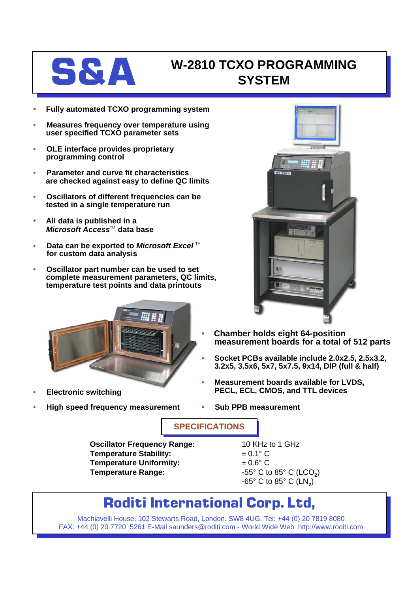

## **S&A W-2810 TCXO PROGRAMMING SYSTEM**

- **Fully automated TCXO programming system**
- **Measures frequency over temperature using user specified TCXO parameter sets**
- **OLE interface provides proprietary programming control**
- **Parameter and curve fit characteristics are checked against easy to define QC limits**
- **Oscillators of different frequencies can be tested in a single temperature run**
- **All data is published in a** *Microsoft Access*™ data base
- **Data can be exported to** *Microsoft Excel*™ **for custom data analysis**
- **Oscillator part number can be used to set complete measurement parameters, QC limits, temperature test points and data printouts**



- **Electronic switching**
- **High speed frequency measurement**



- **Chamber holds eight 64-position measurement boards for a total of 512 parts**
- **Socket PCBs available include 2.0x2.5, 2.5x3.2, 3.2x5, 3.5x6, 5x7, 5x7.5, 9x14, DIP (full & half)**
- **Measurement boards available for LVDS, PECL, ECL, CMOS, and TTL devices**
- **Sub PPB measurement**

**SPECIFICATIONS**

**Oscillator Frequency Range:** 10 KHz to 1 GHz **Temperature Stability:**  $\qquad 20.1^{\circ} \text{ C}$ **Temperature Uniformity:**  $\pm 0.6^{\circ}$  C **Temperature Range:**  $-55^{\circ}$  C to 85° C (LCO<sub>2</sub>)

 $-65^\circ$  C to  $85^\circ$  C (LN<sub>2</sub>)

## **Roditi International Corp. Ltd,**

Machiavelli House, 102 Stewarts Road, London. SW8 4UG. Tel: +44 (0) 20 7819 8080 FAX: +44 (0) 20 7720 5261 E-Mail saunders@roditi.com - World Wide Web http://www.roditi.com